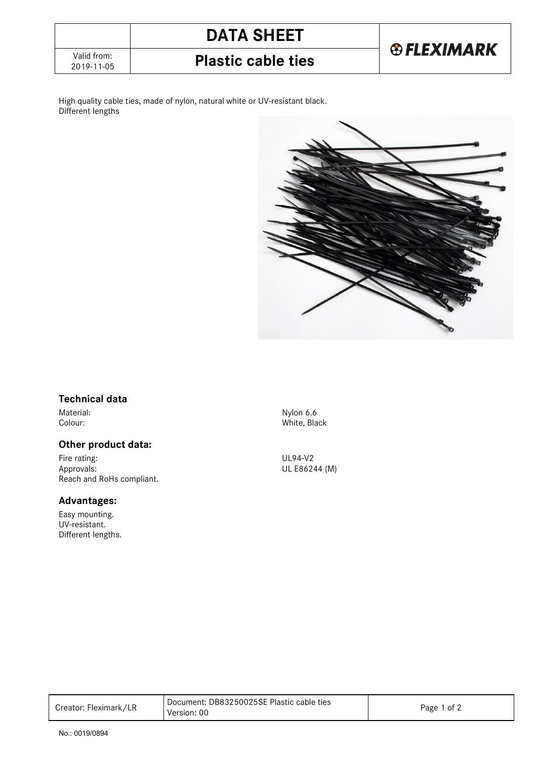# **DATA SHEET**



**Plastic cable ties** 

High quality cable ties, made of nylon, natural white or UV-resistant black. Different lengths



### **Technical data**

### **Other product data:**

Fire rating: UL94-V2<br>Approvals: ULE8624 Reach and RoHs compliant.

### **Advantages:**

Easy mounting. UV-resistant. Different lengths.

Material: Nylon 6.6 Colour: White, Black

UL E86244 (M)

| Creator: Fleximark/LR | Document: DB83250025SE Plastic cable ties<br>Version: 00 | Page 1 of 2 |
|-----------------------|----------------------------------------------------------|-------------|
|-----------------------|----------------------------------------------------------|-------------|